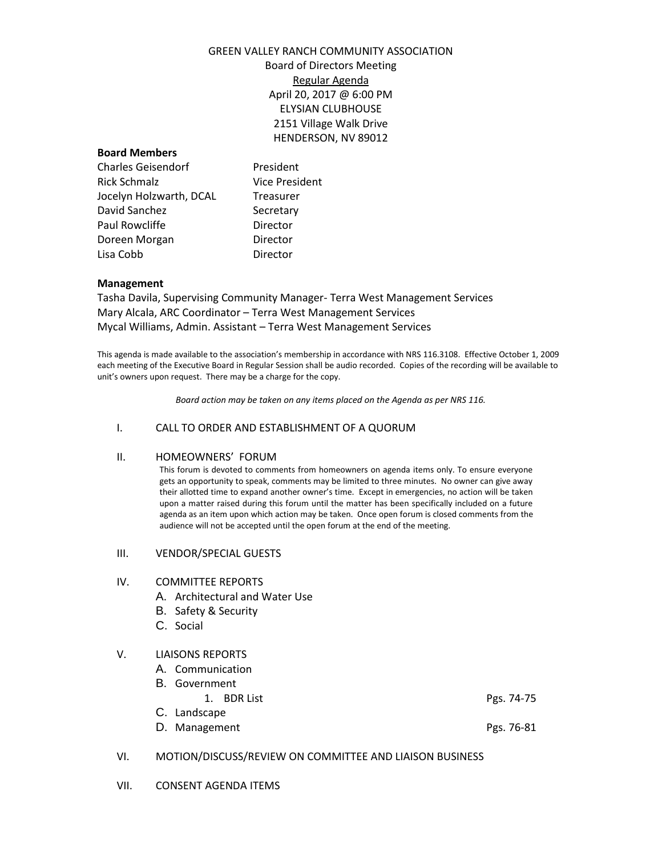# GREEN VALLEY RANCH COMMUNITY ASSOCIATION

Board of Directors Meeting Regular Agenda April 20, 2017 @ 6:00 PM ELYSIAN CLUBHOUSE 2151 Village Walk Drive HENDERSON, NV 89012

### **Board Members**

Charles Geisendorf President Rick Schmalz Vice President Jocelyn Holzwarth, DCAL Treasurer David Sanchez Secretary Paul Rowcliffe **Director** Doreen Morgan Director Lisa Cobb Director

### **Management**

Tasha Davila, Supervising Community Manager- Terra West Management Services Mary Alcala, ARC Coordinator – Terra West Management Services Mycal Williams, Admin. Assistant – Terra West Management Services

This agenda is made available to the association's membership in accordance with NRS 116.3108. Effective October 1, 2009 each meeting of the Executive Board in Regular Session shall be audio recorded. Copies of the recording will be available to unit's owners upon request. There may be a charge for the copy.

*Board action may be taken on any items placed on the Agenda as per NRS 116.*

### I. CALL TO ORDER AND ESTABLISHMENT OF A QUORUM

### II. HOMEOWNERS' FORUM

This forum is devoted to comments from homeowners on agenda items only. To ensure everyone gets an opportunity to speak, comments may be limited to three minutes. No owner can give away their allotted time to expand another owner's time. Except in emergencies, no action will be taken upon a matter raised during this forum until the matter has been specifically included on a future agenda as an item upon which action may be taken. Once open forum is closed comments from the audience will not be accepted until the open forum at the end of the meeting.

### III. VENDOR/SPECIAL GUESTS

### IV. COMMITTEE REPORTS

- A. Architectural and Water Use
- B. Safety & Security
- C. Social

### V. LIAISONS REPORTS

- A. Communication
- B. Government
- 1. BDR List Pgs. 74-75 C. Landscape
- D. Management **Pgs. 76-81**

### VI. MOTION/DISCUSS/REVIEW ON COMMITTEE AND LIAISON BUSINESS

VII. CONSENT AGENDA ITEMS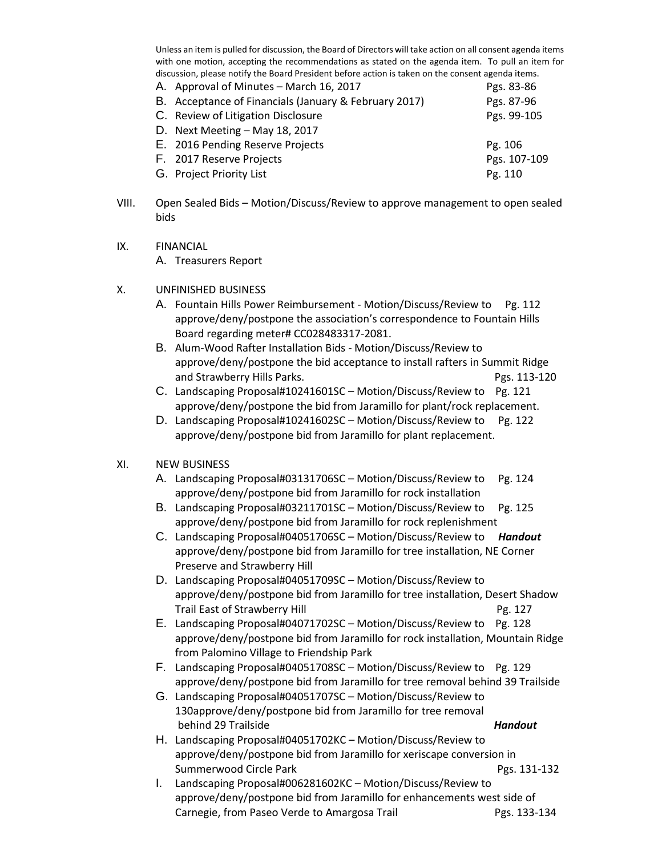Unless an item is pulled for discussion, the Board of Directors will take action on all consent agenda items with one motion, accepting the recommendations as stated on the agenda item. To pull an item for discussion, please notify the Board President before action is taken on the consent agenda items.

| A. Approval of Minutes – March 16, 2017               | Pgs. 83-86   |
|-------------------------------------------------------|--------------|
| B. Acceptance of Financials (January & February 2017) | Pgs. 87-96   |
| C. Review of Litigation Disclosure                    | Pgs. 99-105  |
| D. Next Meeting $-$ May 18, 2017                      |              |
| E. 2016 Pending Reserve Projects                      | Pg. 106      |
| F. 2017 Reserve Projects                              | Pgs. 107-109 |
| G. Project Priority List                              | Pg. 110      |
|                                                       |              |

- VIII. Open Sealed Bids Motion/Discuss/Review to approve management to open sealed bids
- IX. FINANCIAL

A. Treasurers Report

- X. UNFINISHED BUSINESS
	- A. Fountain Hills Power Reimbursement Motion/Discuss/Review to Pg. 112 approve/deny/postpone the association's correspondence to Fountain Hills Board regarding meter# CC028483317-2081.
	- B. Alum-Wood Rafter Installation Bids Motion/Discuss/Review to approve/deny/postpone the bid acceptance to install rafters in Summit Ridge and Strawberry Hills Parks. Parks and Strawberry Hills Parks.
	- C. Landscaping Proposal#10241601SC Motion/Discuss/Review to Pg. 121 approve/deny/postpone the bid from Jaramillo for plant/rock replacement.
	- D. Landscaping Proposal#10241602SC Motion/Discuss/Review to Pg. 122 approve/deny/postpone bid from Jaramillo for plant replacement.

# XI. NEW BUSINESS

- A. Landscaping Proposal#03131706SC Motion/Discuss/Review to Pg. 124 approve/deny/postpone bid from Jaramillo for rock installation
- B. Landscaping Proposal#03211701SC Motion/Discuss/Review to Pg. 125 approve/deny/postpone bid from Jaramillo for rock replenishment
- C. Landscaping Proposal#04051706SC Motion/Discuss/Review to *Handout* approve/deny/postpone bid from Jaramillo for tree installation, NE Corner Preserve and Strawberry Hill
- D. Landscaping Proposal#04051709SC Motion/Discuss/Review to approve/deny/postpone bid from Jaramillo for tree installation, Desert Shadow Trail East of Strawberry Hill **Pg. 127**
- E. Landscaping Proposal#04071702SC Motion/Discuss/Review to Pg. 128 approve/deny/postpone bid from Jaramillo for rock installation, Mountain Ridge from Palomino Village to Friendship Park
- F. Landscaping Proposal#04051708SC Motion/Discuss/Review to Pg. 129 approve/deny/postpone bid from Jaramillo for tree removal behind 39 Trailside
- G. Landscaping Proposal#04051707SC Motion/Discuss/Review to 130approve/deny/postpone bid from Jaramillo for tree removal behind 29 Trailside *Handout*
- H. Landscaping Proposal#04051702KC Motion/Discuss/Review to approve/deny/postpone bid from Jaramillo for xeriscape conversion in Summerwood Circle Park **Pgs. 131-132**
- I. Landscaping Proposal#006281602KC Motion/Discuss/Review to approve/deny/postpone bid from Jaramillo for enhancements west side of Carnegie, from Paseo Verde to Amargosa Trail Pgs. 133-134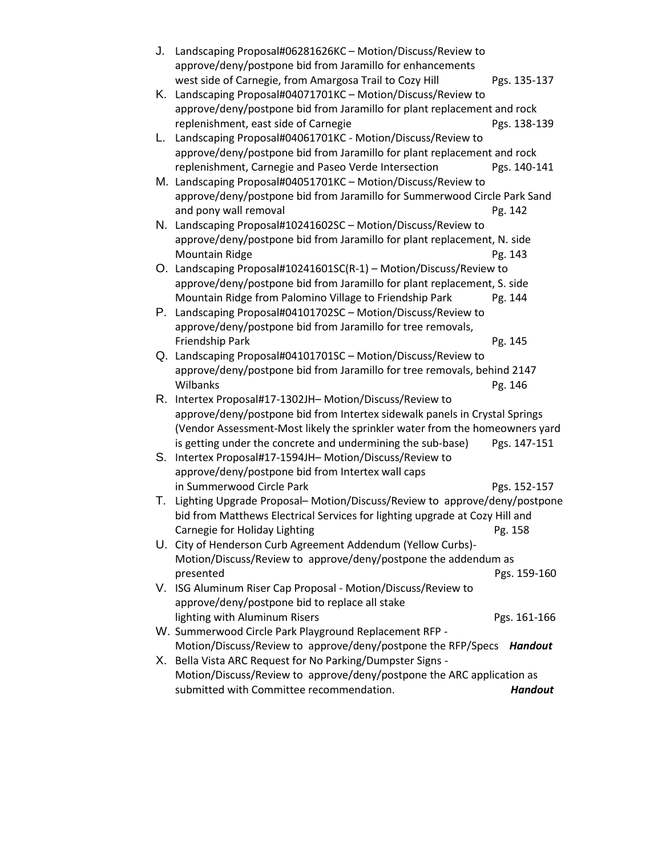| J. | Landscaping Proposal#06281626KC - Motion/Discuss/Review to                      |                                                                          |  |
|----|---------------------------------------------------------------------------------|--------------------------------------------------------------------------|--|
|    | approve/deny/postpone bid from Jaramillo for enhancements                       |                                                                          |  |
|    | west side of Carnegie, from Amargosa Trail to Cozy Hill                         | Pgs. 135-137                                                             |  |
| Κ. | Landscaping Proposal#04071701KC - Motion/Discuss/Review to                      |                                                                          |  |
|    | approve/deny/postpone bid from Jaramillo for plant replacement and rock         |                                                                          |  |
|    | replenishment, east side of Carnegie                                            | Pgs. 138-139                                                             |  |
| L. | Landscaping Proposal#04061701KC - Motion/Discuss/Review to                      |                                                                          |  |
|    | approve/deny/postpone bid from Jaramillo for plant replacement and rock         |                                                                          |  |
|    | replenishment, Carnegie and Paseo Verde Intersection                            | Pgs. 140-141                                                             |  |
|    | M. Landscaping Proposal#04051701KC - Motion/Discuss/Review to                   |                                                                          |  |
|    | approve/deny/postpone bid from Jaramillo for Summerwood Circle Park Sand        |                                                                          |  |
|    | and pony wall removal                                                           | Pg. 142                                                                  |  |
|    | N. Landscaping Proposal#10241602SC - Motion/Discuss/Review to                   |                                                                          |  |
|    | approve/deny/postpone bid from Jaramillo for plant replacement, N. side         |                                                                          |  |
|    | <b>Mountain Ridge</b>                                                           | Pg. 143                                                                  |  |
|    | O. Landscaping Proposal#10241601SC(R-1) - Motion/Discuss/Review to              |                                                                          |  |
|    | approve/deny/postpone bid from Jaramillo for plant replacement, S. side         |                                                                          |  |
|    | Mountain Ridge from Palomino Village to Friendship Park                         | Pg. 144                                                                  |  |
| Р. | Landscaping Proposal#04101702SC - Motion/Discuss/Review to                      |                                                                          |  |
|    | approve/deny/postpone bid from Jaramillo for tree removals,                     |                                                                          |  |
|    | Friendship Park                                                                 | Pg. 145                                                                  |  |
|    | Q. Landscaping Proposal#04101701SC - Motion/Discuss/Review to                   |                                                                          |  |
|    | approve/deny/postpone bid from Jaramillo for tree removals, behind 2147         |                                                                          |  |
|    | Wilbanks                                                                        | Pg. 146                                                                  |  |
| R. | Intertex Proposal#17-1302JH- Motion/Discuss/Review to                           |                                                                          |  |
|    | approve/deny/postpone bid from Intertex sidewalk panels in Crystal Springs      |                                                                          |  |
|    | (Vendor Assessment-Most likely the sprinkler water from the homeowners yard     |                                                                          |  |
|    | is getting under the concrete and undermining the sub-base)                     | Pgs. 147-151                                                             |  |
| S. | Intertex Proposal#17-1594JH- Motion/Discuss/Review to                           |                                                                          |  |
|    | approve/deny/postpone bid from Intertex wall caps                               |                                                                          |  |
|    | in Summerwood Circle Park                                                       | Pgs. 152-157                                                             |  |
| Τ. |                                                                                 | Lighting Upgrade Proposal-Motion/Discuss/Review to approve/deny/postpone |  |
|    | bid from Matthews Electrical Services for lighting upgrade at Cozy Hill and     |                                                                          |  |
|    | Carnegie for Holiday Lighting                                                   | Pg. 158                                                                  |  |
|    | U. City of Henderson Curb Agreement Addendum (Yellow Curbs)-                    |                                                                          |  |
|    | Motion/Discuss/Review to approve/deny/postpone the addendum as                  |                                                                          |  |
|    | presented                                                                       | Pgs. 159-160                                                             |  |
|    | V. ISG Aluminum Riser Cap Proposal - Motion/Discuss/Review to                   |                                                                          |  |
|    | approve/deny/postpone bid to replace all stake<br>lighting with Aluminum Risers |                                                                          |  |
|    | W. Summerwood Circle Park Playground Replacement RFP -                          | Pgs. 161-166                                                             |  |
|    | Motion/Discuss/Review to approve/deny/postpone the RFP/Specs                    | <b>Handout</b>                                                           |  |
|    | X. Bella Vista ARC Request for No Parking/Dumpster Signs -                      |                                                                          |  |
|    | Motion/Discuss/Review to approve/deny/postpone the ARC application as           |                                                                          |  |
|    | submitted with Committee recommendation.                                        | <b>Handout</b>                                                           |  |
|    |                                                                                 |                                                                          |  |